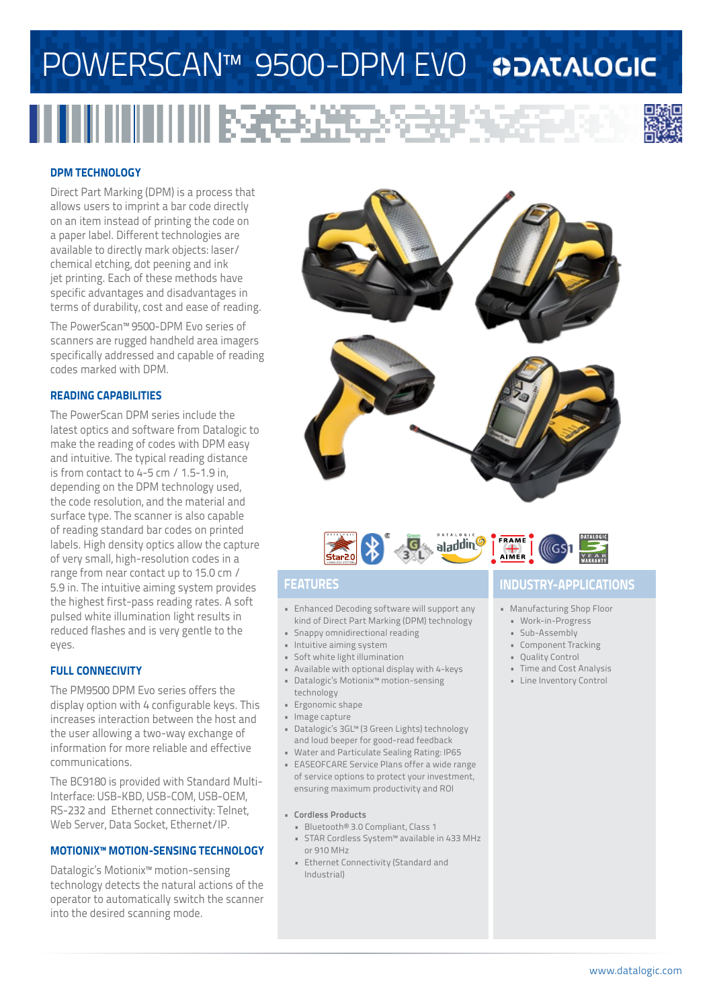# POWERSCAN™ 9500-DPM EVO ©DATALOGIC

# 



## **DPM TECHNOLOGY**

Direct Part Marking (DPM) is a process that allows users to imprint a bar code directly on an item instead of printing the code on a paper label. Different technologies are available to directly mark objects: laser/ chemical etching, dot peening and ink jet printing. Each of these methods have specific advantages and disadvantages in terms of durability, cost and ease of reading.

The PowerScan™ 9500-DPM Evo series of scanners are rugged handheld area imagers specifically addressed and capable of reading codes marked with DPM.

## **READING CAPABILITIES**

The PowerScan DPM series include the latest optics and software from Datalogic to make the reading of codes with DPM easy and intuitive. The typical reading distance is from contact to 4-5 cm / 1.5-1.9 in, depending on the DPM technology used, the code resolution, and the material and surface type. The scanner is also capable of reading standard bar codes on printed labels. High density optics allow the capture of very small, high-resolution codes in a range from near contact up to 15.0 cm / 5.9 in. The intuitive aiming system provides the highest first-pass reading rates. A soft pulsed white illumination light results in reduced flashes and is very gentle to the eyes.

## **FULL CONNECIVITY**

The PM9500 DPM Evo series offers the display option with 4 configurable keys. This increases interaction between the host and the user allowing a two-way exchange of information for more reliable and effective communications.

The BC9180 is provided with Standard Multi-Interface: USB-KBD, USB-COM, USB-OEM, RS-232 and Ethernet connectivity: Telnet, Web Server, Data Socket, Ethernet/IP.

## **MOTIONIX™ MOTION-SENSING TECHNOLOGY**

Datalogic's Motionix™ motion-sensing technology detects the natural actions of the operator to automatically switch the scanner into the desired scanning mode.





- Enhanced Decoding software will support any kind of Direct Part Marking (DPM) technology
- Snappy omnidirectional reading
- Intuitive aiming system
- Soft white light illumination • Available with optional display with 4-keys
- Datalogic's Motionix™ motion-sensing
- technology
- Ergonomic shape
- Image capture
- Datalogic's 3GL™ (3 Green Lights) technology and loud beeper for good-read feedback
- Water and Particulate Sealing Rating: IP65
- EASEOFCARE Service Plans offer a wide range of service options to protect your investment, ensuring maximum productivity and ROI
- **• Cordless Products**
- Bluetooth® 3.0 Compliant, Class 1
- STAR Cordless System™ available in 433 MHz or 910 MHz
- Ethernet Connectivity (Standard and Industrial)

## **FEATURES INDUSTRY-APPLICATIONS**

- Manufacturing Shop Floor
- Work-in-Progress
- Sub-Assembly
- Component Tracking
- Quality Control
- Time and Cost Analysis • Line Inventory Control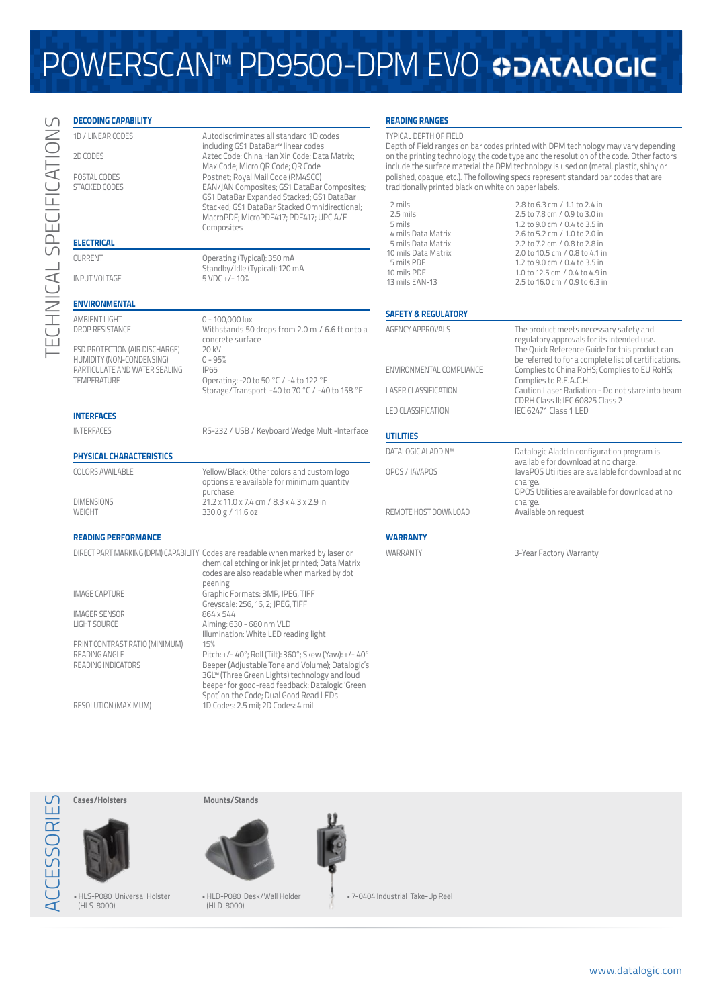## POWERSCAN™ PD9500-DPM EVO ©DATALOGIC

### **DECODING CAPABILITY** 1D / LINEAR CODES Autodiscriminates all standard 1D codes including GS1 DataBar™ linear codes 2D CODES Aztec Code; China Han Xin Code; Data Matrix; MaxiCode; Micro QR Code; QR Code POSTAL CODES Postnet; Royal Mail Code (RM4SCC) STACKED CODES EAN/JAN Composites; GS1 DataBar Composites; GS1 DataBar Expanded Stacked; GS1 DataBar Stacked; GS1 DataBar Stacked Omnidirectional; MacroPDF; MicroPDF417; PDF417; UPC A/E **Composites ELECTRICAL** CURRENT Operating (Typical): 350 mA Standby/Idle (Typical): 120 mA<br>5 VDC +/- 10% INPUT VOLTAGE **ENVIRONMENTAL** AMBIENT LIGHT<br>DROP RESISTANCE MERIC MUTHSTANGE MUTHSTANGE Withstands 50 drops from 2.0 m / 6.6 ft onto a concrete surface<br>20 kV ESD PROTECTION (AIR DISCHARGE) 20 kV<br>HUMIDITY (NON-CONDENSING) 0 - 95% HUMIDITY (NON-CONDENSING) 0 - 99<br>PARTICULATE AND WATER SEALING IP65 PARTICULATE AND WATER SEALING<br>TEMPERATURE Operating: -20 to 50 °C / -4 to 122 °F Storage/Transport: -40 to 70 °C / -40 to 158 °F **INTERFACES** INTERFACES RS-232 / USB / Keyboard Wedge Multi-Interface **PHYSICAL CHARACTERISTICS** COLORS AVAILABLE Yellow/Black; Other colors and custom logo options are available for minimum quantity purchase. DIMENSIONS 21.2 x 11.0 x 7.4 cm / 8.3 x 4.3 x 2.9 in WEIGHT 330.0 g / 11.6 oz **READING PERFORMANCE** DIRECT PART MARKING (DPM) CAPABILITY Codes are readable when marked by laser or chemical etching or ink jet printed; Data Matrix codes are also readable when marked by dot peening IMAGE CAPTURE Graphic Formats: BMP, JPEG, TIFF Greyscale: 256, 16, 2; JPEG, TIFF IMAGER SENSOR 864 x 544 Aiming: 630 - 680 nm VLD Illumination: White LED reading light PRINT CONTRAST RATIO (MINIMUM) 15%<br>READING ANGLE Pito READING ANGLE Pitch: +/- 40°; Roll (Tilt): 360°; Skew (Yaw): +/- 40°<br>READING INDICATORS Beeper (Adjustable Tone and Volume): Datalogic's Beeper (Adjustable Tone and Volume); Datalogic's 3GL™ (Three Green Lights) technology and loud beeper for good-read feedback: Datalogic 'Green Spot' on the Code; Dual Good Read LEDs **READING RANGES** TYPICAL DEPTH OF FIELD Depth of Field ranges on bar codes printed with DPM technology may vary depending on the printing technology, the code type and the resolution of the code. Other factors include the surface material the DPM technology is used on (metal, plastic, shiny or polished, opaque, etc.). The following specs represent standard bar codes that are traditionally printed black on white on paper labels. 2 mils 2.8 to 6.3 cm / 1.1 to 2.4 in 2.5 mils 2.5 to 7.8 cm / 0.9 to 3.0 in<br>5 mils 2.5 to 9.0 cm / 0.4 to 3.5 in 5 mils 1.2 to 9.0 cm / 0.4 to 3.5 in 2.6 to 5.2 cm / 1.0 to 2.0 in 5 mils Data Matrix 2.2 to 7.2 cm / 0.8 to 2.8 in 10 mils Data Matrix 2.0 to 10.5 cm / 0.8 to 4.1 in 5 mils PDF 1.2 to 9.0 cm / 0.4 to 3.5 in 10 mils PDF 1.0 to 12.5 cm / 0.4 to 4.9 in<br>13 mils EAN-13 2.5 to 16.0 cm / 0.9 to 6.3 in 2.5 to 16.0 cm / 0.9 to 6.3 in **SAFETY & REGULATORY** AGENCY APPROVALS The product meets necessary safety and regulatory approvals for its intended use. The Quick Reference Guide for this product can be referred to for a complete list of certifications. ENVIRONMENTAL COMPLIANCE Complies to China RoHS; Complies to EU RoHS; Complies to R.E.A.C.H. LASER CLASSIFICATION Caution Laser Radiation - Do not stare into beam CDRH Class II; IEC 60825 Class 2 LED CLASSIFICATION IEC 62471 Class 1 LED **UTILITIES** DATALOGIC ALADDIN™ Datalogic Aladdin configuration program is available for download at no charge. OPOS / JAVAPOS JavaPOS Utilities are available for download at no charge. OPOS Utilities are available for download at no charge. REMOTE HOST DOWNLOAD Available on request **WARRANTY** WARRANTY 3-Year Factory Warranty

TECHNICAL SPECIFICATIONS

ECHNICAL SPECIFICATION

RESOLUTION (MAXIMUM) 1D Codes: 2.5 mil; 2D Codes: 4 mil

**Cases/Holsters**



ACCESSORIES

**ESSOR** 

ш

•HLS-P080 Universal Holster (HLS-8000)



**Mounts/Stands**

(HLD-8000)

•HLD-P080 Desk/Wall Holder • 7-0404 Industrial Take-Up Reel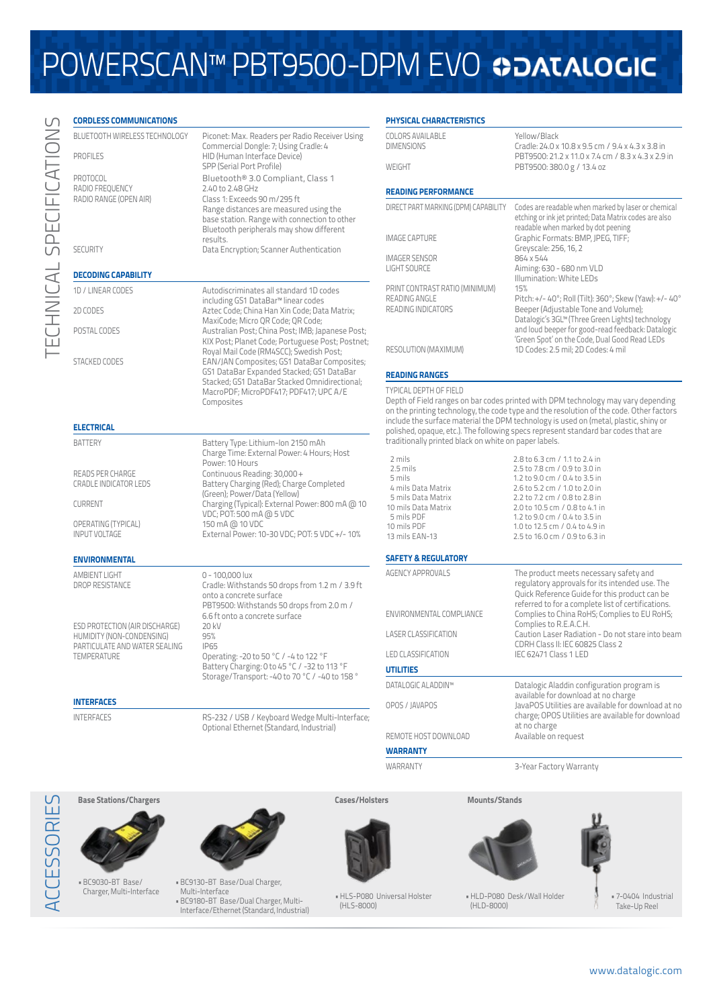## POWERSCAN™ PBT9500-DPM EVO �DATALOGIC

| <b>CORDLESS COMMUNICATIONS</b>                        |                                                                                                                                                                                                                                         |
|-------------------------------------------------------|-----------------------------------------------------------------------------------------------------------------------------------------------------------------------------------------------------------------------------------------|
| BLUETOOTH WIRELESS TECHNOLOGY                         | Piconet: Max. Readers per Radio Receiver Using<br>Commercial Dongle: 7; Using Cradle: 4                                                                                                                                                 |
| <b>PROFILES</b>                                       | HID (Human Interface Device)<br>SPP (Serial Port Profile)                                                                                                                                                                               |
| PROTOCOL<br>RADIO FREQUENCY<br>RADIO RANGE (OPEN AIR) | Bluetooth® 3.0 Compliant, Class 1<br>2.40 to 2.48 GHz<br>Class 1: Exceeds 90 m/295 ft<br>Range distances are measured using the<br>base station. Range with connection to other<br>Bluetooth peripherals may show different<br>results. |
| <b>SECURITY</b>                                       | Data Encryption; Scanner Authentication                                                                                                                                                                                                 |
| <b>DECODING CAPABILITY</b>                            |                                                                                                                                                                                                                                         |
| 1D / LINEAR CODES                                     | Autodiscriminates all standard 1D codes<br>including GS1 DataBar™ linear codes                                                                                                                                                          |
| 2D CODES                                              | Aztec Code; China Han Xin Code; Data Matrix;<br>MaxiCode; Micro QR Code; QR Code;                                                                                                                                                       |
| POSTAL CODES                                          | Australian Post; China Post; IMB; Japanese Post;<br>KIX Post; Planet Code; Portuguese Post; Postnet;<br>Royal Mail Code (RM4SCC); Swedish Post;                                                                                         |
| <b>STACKED CODES</b>                                  | EAN/JAN Composites; GS1 DataBar Composites;                                                                                                                                                                                             |

including GS1 DataBar™ linear codes Aztec Code; China Han Xin Code; Data Matrix; MaxiCode; Micro QR Code; QR Code; Australian Post; China Post; IMB; Japanese Post; KIX Post; Planet Code; Portuguese Post; Postnet; Royal Mail Code (RM4SCC); Swedish Post; EAN/JAN Composites; GS1 DataBar Composites; GS1 DataBar Expanded Stacked; GS1 DataBar Stacked; GS1 DataBar Stacked Omnidirectional; MacroPDF; MicroPDF417; PDF417; UPC A/E Composites

Charge Time: External Power: 4 Hours; Host

Battery Charging (Red); Charge Completed

External Power: 10-30 VDC; POT: 5 VDC +/- 10%

(Green); Power/Data (Yellow)

VDC; POT: 500 mA @ 5 VDC

Power: 10 Hours

### **ELECTRICAL**

BATTERY Battery Type: Lithium-Ion 2150 mAh

READS PER CHARGE<br>
CRADLE INDICATOR LEDS<br>
Battery Charging (Red); Charge

CURRENT Charging (Typical): External Power: 800 mA @ 10

OPERATING (TYPICAL) 150 mA @ 10 VDC

### **ENVIRONMENTAL**

AMBIENT LIGHT<br>
DROP RESISTANCE<br>
Cradle: Withsta

ESD PROTECTION (AIR DISCHARGE) 20 kV **HUMIDITY (NON-CONDENSING)** 95%<br>PARTICULATE AND WATER SEALING PARTICULATE AND WATER SEALING

Cradle: Withstands 50 drops from 1.2 m / 3.9 ft onto a concrete surface PBT9500: Withstands 50 drops from 2.0 m / 6.6 ft onto a concrete surface TEMPERATURE Operating: -20 to 50 °C / -4 to 122 °F Battery Charging: 0 to 45 °C / -32 to 113 °F Storage/Transport: -40 to 70 °C / -40 to 158 °

### **INTERFACES**

INTERFACES RS-232 / USB / Keyboard Wedge Multi-Interface; Optional Ethernet (Standard, Industrial)

| <b>PHYSICAL CHARACTERISTICS</b>                                                                                                                                                    |                                                                                                                                                                                                                                                                                                          |
|------------------------------------------------------------------------------------------------------------------------------------------------------------------------------------|----------------------------------------------------------------------------------------------------------------------------------------------------------------------------------------------------------------------------------------------------------------------------------------------------------|
| COLORS AVAILABLE<br><b>DIMENSIONS</b><br>WEIGHT                                                                                                                                    | Yellow/Black<br>Cradle: 24.0 x 10.8 x 9.5 cm / 9.4 x 4.3 x 3.8 in<br>PBT9500: 21.2 x 11.0 x 7.4 cm / 8.3 x 4.3 x 2.9 in<br>PBT9500: 380.0 g / 13.4 oz                                                                                                                                                    |
|                                                                                                                                                                                    |                                                                                                                                                                                                                                                                                                          |
| <b>READING PERFORMANCE</b>                                                                                                                                                         |                                                                                                                                                                                                                                                                                                          |
| DIRECT PART MARKING (DPM) CAPABILITY                                                                                                                                               | Codes are readable when marked by laser or chemical<br>etching or ink jet printed; Data Matrix codes are also<br>readable when marked by dot peening                                                                                                                                                     |
| <b>IMAGE CAPTURE</b>                                                                                                                                                               | Graphic Formats: BMP, JPEG, TIFF;<br>Greyscale: 256, 16, 2                                                                                                                                                                                                                                               |
| <b>IMAGER SENSOR</b>                                                                                                                                                               | 864 x 544                                                                                                                                                                                                                                                                                                |
| <b>LIGHT SOURCE</b>                                                                                                                                                                | Aiming: 630 - 680 nm VLD                                                                                                                                                                                                                                                                                 |
| PRINT CONTRAST RATIO (MINIMUM)                                                                                                                                                     | Illumination: White LEDs<br>15%                                                                                                                                                                                                                                                                          |
| READING ANGLE<br>READING INDICATORS                                                                                                                                                | Pitch: +/- 40°; Roll (Tilt): 360°; Skew (Yaw): +/- 40°<br>Beeper (Adjustable Tone and Volume);<br>Datalogic's 3GL™ (Three Green Lights) technology<br>and loud beeper for good-read feedback: Datalogic<br>'Green Spot' on the Code, Dual Good Read LEDs                                                 |
| RESOLUTION (MAXIMUM)                                                                                                                                                               | 1D Codes: 2.5 mil; 2D Codes: 4 mil                                                                                                                                                                                                                                                                       |
| <b>READING RANGES</b>                                                                                                                                                              |                                                                                                                                                                                                                                                                                                          |
| traditionally printed black on white on paper labels.                                                                                                                              | on the printing technology, the code type and the resolution of the code. Other factors<br>include the surface material the DPM technology is used on (metal, plastic, shiny or<br>polished, opaque, etc.). The following specs represent standard bar codes that are                                    |
| 2 mils<br>$2.5$ mils<br>5 mils<br>4 mils Data Matrix<br>5 mils Data Matrix<br>10 mils Data Matrix<br>5 mils PDF<br>10 mils PDF<br>13 mils EAN-13<br><b>SAFETY &amp; REGULATORY</b> | 2.8 to 6.3 cm / 1.1 to 2.4 in<br>2.5 to 7.8 cm / 0.9 to 3.0 in<br>1.2 to 9.0 cm / 0.4 to 3.5 in<br>2.6 to 5.2 cm / 1.0 to 2.0 in<br>2.2 to 7.2 cm / 0.8 to 2.8 in<br>2.0 to 10.5 cm / 0.8 to 4.1 in<br>1.2 to 9.0 cm / 0.4 to 3.5 in<br>1.0 to 12.5 cm / 0.4 to 4.9 in<br>2.5 to 16.0 cm / 0.9 to 6.3 in |
| <b>AGENCY APPROVALS</b>                                                                                                                                                            | The product meets necessary safety and                                                                                                                                                                                                                                                                   |
| ENVIRONMENTAL COMPLIANCE                                                                                                                                                           | regulatory approvals for its intended use. The<br>Quick Reference Guide for this product can be<br>referred to for a complete list of certifications.<br>Complies to China RoHS; Complies to EU RoHS;                                                                                                    |
| <b>LASER CLASSIFICATION</b>                                                                                                                                                        | Complies to R.E.A.C.H.<br>Caution Laser Radiation - Do not stare into beam                                                                                                                                                                                                                               |
|                                                                                                                                                                                    | CDRH Class II: IEC 60825 Class 2                                                                                                                                                                                                                                                                         |
| <b>LED CLASSIFICATION</b>                                                                                                                                                          | IEC 62471 Class 1 LED                                                                                                                                                                                                                                                                                    |

## **UTILITIES**

DATALOGIC ALADDIN™ Datalogic Aladdin configuration program is available for download at no charge OPOS / JAVAPOS JavaPOS Utilities are available for download at no charge; OPOS Utilities are available for download at no charge<br>Available on request REMOTE HOST DOWNLOAD **WARRANTY**

WARRANTY 3-Year Factory Warranty

Base Stations/Chargers<br> **ACCESSORIES BASE**<br>
Charger, Multi-Interface •BC9030-BT Base/

Charger, Multi-Interface



•BC9130-BT Base/Dual Charger, Multi-Interface •BC9180-BT Base/Dual Charger, Multi-

Interface/Ethernet (Standard, Industrial)

**Cases/Holsters**

 $(HI S-8000)$ 

•HLS-P080 Universal Holster



**Mounts/Stands**

•HLD-P080 Desk/Wall Holder  $(HID-8000)$ 

• 7-0404 Industrial Take-Up Reel